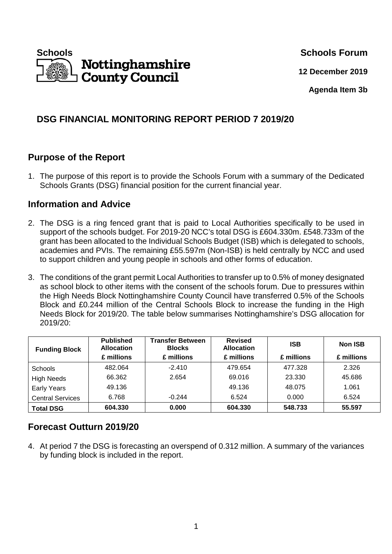

**12 December 2019**

**Agenda Item 3b** 

# **DSG FINANCIAL MONITORING REPORT PERIOD 7 2019/20**

# **Purpose of the Report**

1. The purpose of this report is to provide the Schools Forum with a summary of the Dedicated Schools Grants (DSG) financial position for the current financial year.

## **Information and Advice**

- 2. The DSG is a ring fenced grant that is paid to Local Authorities specifically to be used in support of the schools budget. For 2019-20 NCC's total DSG is £604.330m. £548.733m of the grant has been allocated to the Individual Schools Budget (ISB) which is delegated to schools, academies and PVIs. The remaining £55.597m (Non-ISB) is held centrally by NCC and used to support children and young people in schools and other forms of education.
- 3. The conditions of the grant permit Local Authorities to transfer up to 0.5% of money designated as school block to other items with the consent of the schools forum. Due to pressures within the High Needs Block Nottinghamshire County Council have transferred 0.5% of the Schools Block and £0.244 million of the Central Schools Block to increase the funding in the High Needs Block for 2019/20. The table below summarises Nottinghamshire's DSG allocation for 2019/20:

| <b>Funding Block</b>    | <b>Published</b><br><b>Allocation</b><br>£ millions | <b>Transfer Between</b><br><b>Blocks</b><br>£ millions | <b>Revised</b><br><b>Allocation</b><br>£ millions | <b>ISB</b><br>£ millions | <b>Non ISB</b><br>£ millions |
|-------------------------|-----------------------------------------------------|--------------------------------------------------------|---------------------------------------------------|--------------------------|------------------------------|
| <b>Schools</b>          | 482.064                                             | $-2.410$                                               | 479.654                                           | 477.328                  | 2.326                        |
| <b>High Needs</b>       | 66.362                                              | 2.654                                                  | 69.016                                            | 23.330                   | 45.686                       |
| <b>Early Years</b>      | 49.136                                              |                                                        | 49.136                                            | 48.075                   | 1.061                        |
| <b>Central Services</b> | 6.768                                               | $-0.244$                                               | 6.524                                             | 0.000                    | 6.524                        |
| <b>Total DSG</b>        | 604.330                                             | 0.000                                                  | 604.330                                           | 548.733                  | 55.597                       |

# **Forecast Outturn 2019/20**

4. At period 7 the DSG is forecasting an overspend of 0.312 million. A summary of the variances by funding block is included in the report.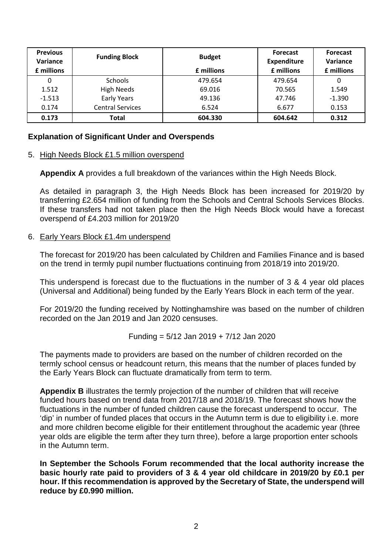| <b>Previous</b><br>Variance<br>£ millions | <b>Funding Block</b>    | <b>Budget</b><br>£ millions | <b>Forecast</b><br><b>Expenditure</b><br>£ millions | <b>Forecast</b><br>Variance<br>£ millions |
|-------------------------------------------|-------------------------|-----------------------------|-----------------------------------------------------|-------------------------------------------|
| 0                                         | <b>Schools</b>          | 479.654                     | 479.654                                             | 0                                         |
| 1.512                                     | <b>High Needs</b>       | 69.016                      | 70.565                                              | 1.549                                     |
| $-1.513$                                  | <b>Early Years</b>      | 49.136                      | 47.746                                              | $-1.390$                                  |
| 0.174                                     | <b>Central Services</b> | 6.524                       | 6.677                                               | 0.153                                     |
| 0.173                                     | Total                   | 604.330                     | 604.642                                             | 0.312                                     |

## **Explanation of Significant Under and Overspends**

### 5. High Needs Block £1.5 million overspend

**Appendix A** provides a full breakdown of the variances within the High Needs Block.

As detailed in paragraph 3, the High Needs Block has been increased for 2019/20 by transferring £2.654 million of funding from the Schools and Central Schools Services Blocks. If these transfers had not taken place then the High Needs Block would have a forecast overspend of £4.203 million for 2019/20

#### 6. Early Years Block £1.4m underspend

The forecast for 2019/20 has been calculated by Children and Families Finance and is based on the trend in termly pupil number fluctuations continuing from 2018/19 into 2019/20.

This underspend is forecast due to the fluctuations in the number of 3 & 4 year old places (Universal and Additional) being funded by the Early Years Block in each term of the year.

For 2019/20 the funding received by Nottinghamshire was based on the number of children recorded on the Jan 2019 and Jan 2020 censuses.

Funding = 
$$
5/12
$$
 Jan 2019 +  $7/12$  Jan 2020

The payments made to providers are based on the number of children recorded on the termly school census or headcount return, this means that the number of places funded by the Early Years Block can fluctuate dramatically from term to term.

**Appendix B** illustrates the termly projection of the number of children that will receive funded hours based on trend data from 2017/18 and 2018/19. The forecast shows how the fluctuations in the number of funded children cause the forecast underspend to occur. The 'dip' in number of funded places that occurs in the Autumn term is due to eligibility i.e. more and more children become eligible for their entitlement throughout the academic year (three year olds are eligible the term after they turn three), before a large proportion enter schools in the Autumn term.

**In September the Schools Forum recommended that the local authority increase the basic hourly rate paid to providers of 3 & 4 year old childcare in 2019/20 by £0.1 per hour. If this recommendation is approved by the Secretary of State, the underspend will reduce by £0.990 million.**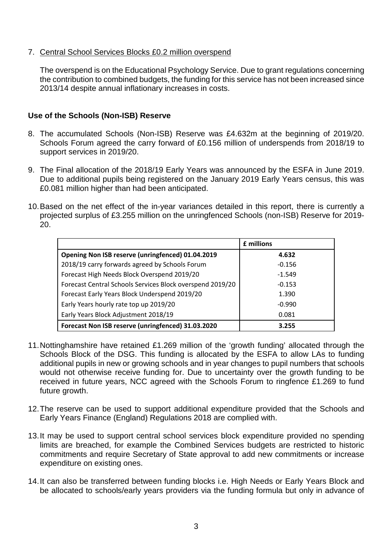## 7. Central School Services Blocks £0.2 million overspend

The overspend is on the Educational Psychology Service. Due to grant regulations concerning the contribution to combined budgets, the funding for this service has not been increased since 2013/14 despite annual inflationary increases in costs.

## **Use of the Schools (Non-ISB) Reserve**

- 8. The accumulated Schools (Non-ISB) Reserve was £4.632m at the beginning of 2019/20. Schools Forum agreed the carry forward of £0.156 million of underspends from 2018/19 to support services in 2019/20.
- 9. The Final allocation of the 2018/19 Early Years was announced by the ESFA in June 2019. Due to additional pupils being registered on the January 2019 Early Years census, this was £0.081 million higher than had been anticipated.
- 10. Based on the net effect of the in-year variances detailed in this report, there is currently a projected surplus of £3.255 million on the unringfenced Schools (non-ISB) Reserve for 2019- 20.

|                                                           | £ millions |
|-----------------------------------------------------------|------------|
| Opening Non ISB reserve (unringfenced) 01.04.2019         | 4.632      |
| 2018/19 carry forwards agreed by Schools Forum            | $-0.156$   |
| Forecast High Needs Block Overspend 2019/20               | $-1.549$   |
| Forecast Central Schools Services Block overspend 2019/20 | $-0.153$   |
| Forecast Early Years Block Underspend 2019/20             | 1.390      |
| Early Years hourly rate top up 2019/20                    | $-0.990$   |
| Early Years Block Adjustment 2018/19                      | 0.081      |
| Forecast Non ISB reserve (unringfenced) 31.03.2020        | 3.255      |

- 11. Nottinghamshire have retained £1.269 million of the 'growth funding' allocated through the Schools Block of the DSG. This funding is allocated by the ESFA to allow LAs to funding additional pupils in new or growing schools and in year changes to pupil numbers that schools would not otherwise receive funding for. Due to uncertainty over the growth funding to be received in future years, NCC agreed with the Schools Forum to ringfence £1.269 to fund future growth.
- 12. The reserve can be used to support additional expenditure provided that the Schools and Early Years Finance (England) Regulations 2018 are complied with.
- 13. It may be used to support central school services block expenditure provided no spending limits are breached, for example the Combined Services budgets are restricted to historic commitments and require Secretary of State approval to add new commitments or increase expenditure on existing ones.
- 14. It can also be transferred between funding blocks i.e. High Needs or Early Years Block and be allocated to schools/early years providers via the funding formula but only in advance of